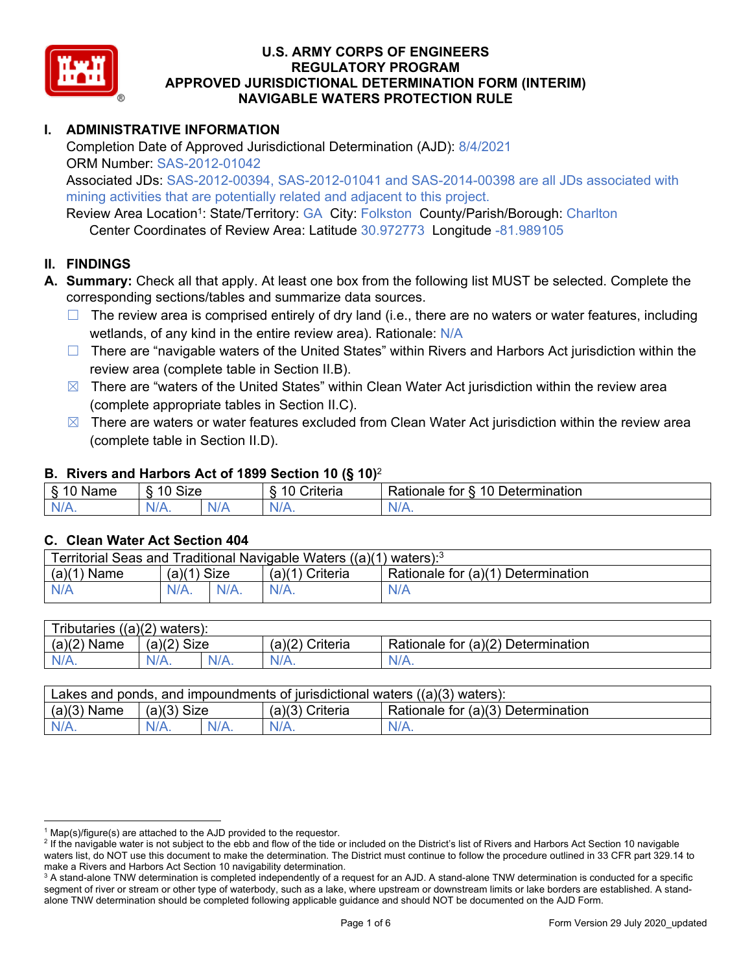

## **U.S. ARMY CORPS OF ENGINEERS REGULATORY PROGRAM APPROVED JURISDICTIONAL DETERMINATION FORM (INTERIM) NAVIGABLE WATERS PROTECTION RULE**

### **I. ADMINISTRATIVE INFORMATION**

 Completion Date of Approved Jurisdictional Determination (AJD): 8/4/2021 ORM Number: SAS-2012-01042

Associated JDs: SAS-2012-00394, SAS-2012-01041 and SAS-2014-00398 are all JDs associated with mining activities that are potentially related and adjacent to this project.

Review Area Location<sup>1</sup>: State/Territory: GA City: Folkston County/Parish/Borough: Charlton Center Coordinates of Review Area: Latitude 30.972773 Longitude -81.989105

## **II. FINDINGS**

- **A. Summary:** Check all that apply. At least one box from the following list MUST be selected. Complete the corresponding sections/tables and summarize data sources.
	- □ The review area is comprised entirely of dry land (i.e., there are no waters or water features, including wetlands, of any kind in the entire review area). Rationale: N/A
	- □ There are "navigable waters of the United States" within Rivers and Harbors Act jurisdiction within the review area (complete table in Section II.B).
	- $\boxtimes$  There are "waters of the United States" within Clean Water Act jurisdiction within the review area (complete appropriate tables in Section II.C).
	- $\boxtimes$  There are waters or water features excluded from Clean Water Act jurisdiction within the review area (complete table in Section II.D).

#### **B. Rivers and Harbors Act of 1899 Section 10 (§ 10)**<sup>2</sup>

| $\cdots$<br>Name       | $\sim$<br>$\sqrt{2}$<br>SIZE<br>`` | $\sim$ $\sim$<br>Criteria | 10<br>-<br>Rationale<br>Determination<br>tor<br>$\sim$ |
|------------------------|------------------------------------|---------------------------|--------------------------------------------------------|
| N<br>$\sim$ 1/2 $\sim$ | $N/A$ .                            | $N$ /<br><b>177</b>       | $\cdots$                                               |

#### **C. Clean Water Act Section 404**

| Territorial Seas and Traditional Navigable Waters $((a)(1)$ waters): <sup>3</sup> |               |         |                 |                                    |  |  |
|-----------------------------------------------------------------------------------|---------------|---------|-----------------|------------------------------------|--|--|
| $(a)(1)$ Name                                                                     | $(a)(1)$ Size |         | (a)(1) Criteria | Rationale for (a)(1) Determination |  |  |
| N/A                                                                               | $N/A$ .       | $N/A$ . | $N/A$ .         | N/A                                |  |  |
|                                                                                   |               |         |                 |                                    |  |  |

| Tributaries $((a)(2)$ waters): |             |         |                    |                                    |  |  |
|--------------------------------|-------------|---------|--------------------|------------------------------------|--|--|
| $(a)(2)$ Name                  | (a)(2) Size |         | Criteria<br>(a)(2) | Rationale for (a)(2) Determination |  |  |
| $N/A$ .                        | $N/A$ .     | $N/A$ . | $N/A$ .            | $N/A$ .                            |  |  |
|                                |             |         |                    |                                    |  |  |

| $(a)(3)$ Name<br>Rationale for (a)(3) Determination<br>$(a)(3)$ Criteria<br>$(a)(3)$ Size | Lakes and ponds, and impoundments of jurisdictional waters $((a)(3)$ waters): |                    |  |         |         |  |  |
|-------------------------------------------------------------------------------------------|-------------------------------------------------------------------------------|--------------------|--|---------|---------|--|--|
|                                                                                           |                                                                               |                    |  |         |         |  |  |
|                                                                                           | $N/A$ .                                                                       | $N/A$ .<br>$N/A$ . |  | $N/A$ . | $N/A$ . |  |  |

 $1$  Map(s)/figure(s) are attached to the AJD provided to the requestor.

<sup>&</sup>lt;sup>2</sup> If the navigable water is not subject to the ebb and flow of the tide or included on the District's list of Rivers and Harbors Act Section 10 navigable waters list, do NOT use this document to make the determination. The District must continue to follow the procedure outlined in 33 CFR part 329.14 to make a Rivers and Harbors Act Section 10 navigability determination.

<sup>&</sup>lt;sup>3</sup> A stand-alone TNW determination is completed independently of a request for an AJD. A stand-alone TNW determination is conducted for a specific segment of river or stream or other type of waterbody, such as a lake, where upstream or downstream limits or lake borders are established. A standalone TNW determination should be completed following applicable guidance and should NOT be documented on the AJD Form.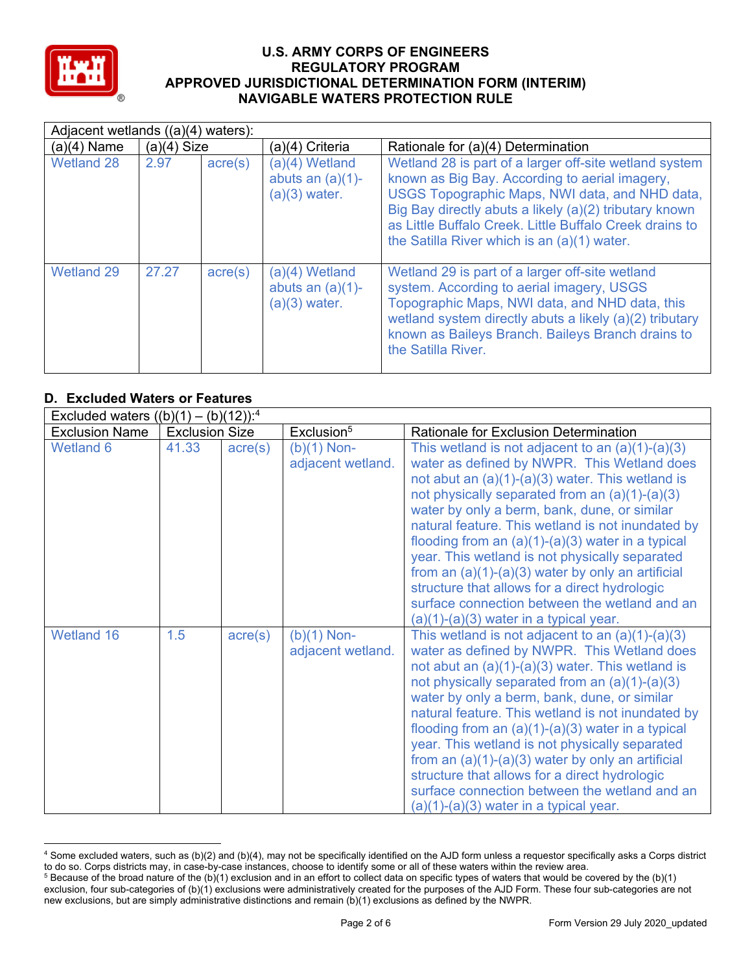

#### **U.S. ARMY CORPS OF ENGINEERS REGULATORY PROGRAM APPROVED JURISDICTIONAL DETERMINATION FORM (INTERIM) NAVIGABLE WATERS PROTECTION RULE**

|                   | Adjacent wetlands $((a)(4)$ waters): |                  |                                                          |                                                                                                                                                                                                                                                                                                                                |  |  |  |
|-------------------|--------------------------------------|------------------|----------------------------------------------------------|--------------------------------------------------------------------------------------------------------------------------------------------------------------------------------------------------------------------------------------------------------------------------------------------------------------------------------|--|--|--|
| $(a)(4)$ Name     | $(a)(4)$ Size                        |                  | (a)(4) Criteria                                          | Rationale for (a)(4) Determination                                                                                                                                                                                                                                                                                             |  |  |  |
| <b>Wetland 28</b> | 2.97                                 | $\text{acre}(s)$ | (a)(4) Wetland<br>abuts an $(a)(1)$ -<br>$(a)(3)$ water. | Wetland 28 is part of a larger off-site wetland system<br>known as Big Bay. According to aerial imagery,<br>USGS Topographic Maps, NWI data, and NHD data,<br>Big Bay directly abuts a likely (a)(2) tributary known<br>as Little Buffalo Creek. Little Buffalo Creek drains to<br>the Satilla River which is an (a)(1) water. |  |  |  |
| <b>Wetland 29</b> | 27.27                                | $\text{acre}(s)$ | (a)(4) Wetland<br>abuts an $(a)(1)$ -<br>$(a)(3)$ water. | Wetland 29 is part of a larger off-site wetland<br>system. According to aerial imagery, USGS<br>Topographic Maps, NWI data, and NHD data, this<br>wetland system directly abuts a likely (a)(2) tributary<br>known as Baileys Branch. Baileys Branch drains to<br>the Satilla River.                                           |  |  |  |

## **D. Excluded Waters or Features**

|                       | Excluded waters $((b)(1) - (b)(12))$ : <sup>4</sup> |                  |                                    |                                                                                                                                                                                                                                                                                                                                                                                                                                                                                                                                                                                                                                |  |  |  |
|-----------------------|-----------------------------------------------------|------------------|------------------------------------|--------------------------------------------------------------------------------------------------------------------------------------------------------------------------------------------------------------------------------------------------------------------------------------------------------------------------------------------------------------------------------------------------------------------------------------------------------------------------------------------------------------------------------------------------------------------------------------------------------------------------------|--|--|--|
| <b>Exclusion Name</b> | <b>Exclusion Size</b>                               |                  | Exclusion <sup>5</sup>             | <b>Rationale for Exclusion Determination</b>                                                                                                                                                                                                                                                                                                                                                                                                                                                                                                                                                                                   |  |  |  |
| <b>Wetland 6</b>      | 41.33                                               | $\text{acre}(s)$ | $(b)(1)$ Non-<br>adjacent wetland. | This wetland is not adjacent to an $(a)(1)-(a)(3)$<br>water as defined by NWPR. This Wetland does<br>not abut an $(a)(1)-(a)(3)$ water. This wetland is<br>not physically separated from an $(a)(1)-(a)(3)$<br>water by only a berm, bank, dune, or similar<br>natural feature. This wetland is not inundated by<br>flooding from an $(a)(1)-(a)(3)$ water in a typical<br>year. This wetland is not physically separated<br>from an $(a)(1)-(a)(3)$ water by only an artificial<br>structure that allows for a direct hydrologic<br>surface connection between the wetland and an<br>$(a)(1)-(a)(3)$ water in a typical year. |  |  |  |
| Wetland 16            | 1.5                                                 | $\text{acre}(s)$ | $(b)(1)$ Non-<br>adjacent wetland. | This wetland is not adjacent to an $(a)(1)-(a)(3)$<br>water as defined by NWPR. This Wetland does<br>not abut an $(a)(1)-(a)(3)$ water. This wetland is<br>not physically separated from an $(a)(1)-(a)(3)$<br>water by only a berm, bank, dune, or similar<br>natural feature. This wetland is not inundated by<br>flooding from an $(a)(1)-(a)(3)$ water in a typical<br>year. This wetland is not physically separated<br>from an $(a)(1)-(a)(3)$ water by only an artificial<br>structure that allows for a direct hydrologic<br>surface connection between the wetland and an<br>$(a)(1)-(a)(3)$ water in a typical year. |  |  |  |

 $^4$  Some excluded waters, such as (b)(2) and (b)(4), may not be specifically identified on the AJD form unless a requestor specifically asks a Corps district to do so. Corps districts may, in case-by-case instances, choose to identify some or all of these waters within the review area.

 $^5$  Because of the broad nature of the (b)(1) exclusion and in an effort to collect data on specific types of waters that would be covered by the (b)(1) exclusion, four sub-categories of (b)(1) exclusions were administratively created for the purposes of the AJD Form. These four sub-categories are not new exclusions, but are simply administrative distinctions and remain (b)(1) exclusions as defined by the NWPR.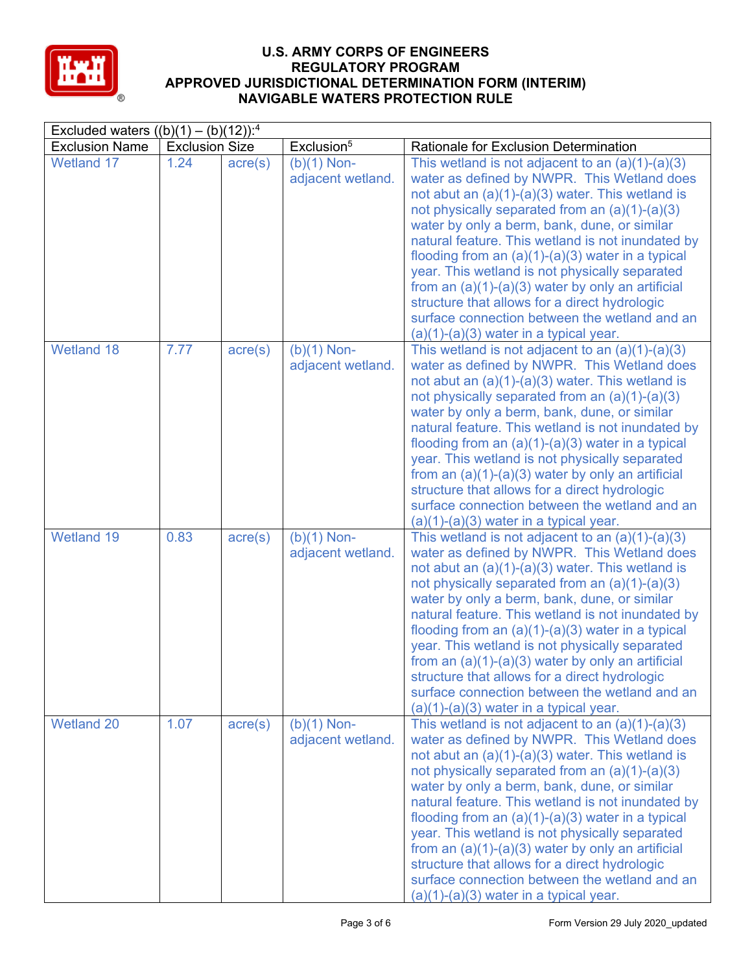

#### **U.S. ARMY CORPS OF ENGINEERS REGULATORY PROGRAM APPROVED JURISDICTIONAL DETERMINATION FORM (INTERIM) NAVIGABLE WATERS PROTECTION RULE**

| Excluded waters $((b)(1) - (b)(12))$ : <sup>4</sup> |                       |                  |                                    |                                                                                                                                                                                                                                                                                                                                                                                                                                                                                                                                                                                                                                |  |  |
|-----------------------------------------------------|-----------------------|------------------|------------------------------------|--------------------------------------------------------------------------------------------------------------------------------------------------------------------------------------------------------------------------------------------------------------------------------------------------------------------------------------------------------------------------------------------------------------------------------------------------------------------------------------------------------------------------------------------------------------------------------------------------------------------------------|--|--|
| <b>Exclusion Name</b>                               | <b>Exclusion Size</b> |                  | Exclusion <sup>5</sup>             | Rationale for Exclusion Determination                                                                                                                                                                                                                                                                                                                                                                                                                                                                                                                                                                                          |  |  |
| <b>Wetland 17</b>                                   | 1.24                  | $\text{acre}(s)$ | $(b)(1)$ Non-<br>adjacent wetland. | This wetland is not adjacent to an $(a)(1)-(a)(3)$<br>water as defined by NWPR. This Wetland does<br>not abut an $(a)(1)-(a)(3)$ water. This wetland is<br>not physically separated from an $(a)(1)-(a)(3)$<br>water by only a berm, bank, dune, or similar<br>natural feature. This wetland is not inundated by<br>flooding from an $(a)(1)-(a)(3)$ water in a typical<br>year. This wetland is not physically separated<br>from an $(a)(1)-(a)(3)$ water by only an artificial<br>structure that allows for a direct hydrologic<br>surface connection between the wetland and an<br>$(a)(1)-(a)(3)$ water in a typical year. |  |  |
| <b>Wetland 18</b>                                   | 7.77                  | acre(s)          | $(b)(1)$ Non-<br>adjacent wetland. | This wetland is not adjacent to an $(a)(1)-(a)(3)$<br>water as defined by NWPR. This Wetland does<br>not abut an $(a)(1)-(a)(3)$ water. This wetland is<br>not physically separated from an (a)(1)-(a)(3)<br>water by only a berm, bank, dune, or similar<br>natural feature. This wetland is not inundated by<br>flooding from an $(a)(1)-(a)(3)$ water in a typical<br>year. This wetland is not physically separated<br>from an $(a)(1)-(a)(3)$ water by only an artificial<br>structure that allows for a direct hydrologic<br>surface connection between the wetland and an<br>$(a)(1)-(a)(3)$ water in a typical year.   |  |  |
| <b>Wetland 19</b>                                   | 0.83                  | $\text{acre}(s)$ | $(b)(1)$ Non-<br>adjacent wetland. | This wetland is not adjacent to an $(a)(1)-(a)(3)$<br>water as defined by NWPR. This Wetland does<br>not abut an $(a)(1)-(a)(3)$ water. This wetland is<br>not physically separated from an $(a)(1)-(a)(3)$<br>water by only a berm, bank, dune, or similar<br>natural feature. This wetland is not inundated by<br>flooding from an $(a)(1)-(a)(3)$ water in a typical<br>year. This wetland is not physically separated<br>from an $(a)(1)-(a)(3)$ water by only an artificial<br>structure that allows for a direct hydrologic<br>surface connection between the wetland and an<br>$(a)(1)-(a)(3)$ water in a typical year. |  |  |
| <b>Wetland 20</b>                                   | 1.07                  | $\text{acre}(s)$ | $(b)(1)$ Non-<br>adjacent wetland. | This wetland is not adjacent to an $(a)(1)-(a)(3)$<br>water as defined by NWPR. This Wetland does<br>not abut an $(a)(1)-(a)(3)$ water. This wetland is<br>not physically separated from an $(a)(1)-(a)(3)$<br>water by only a berm, bank, dune, or similar<br>natural feature. This wetland is not inundated by<br>flooding from an (a)(1)-(a)(3) water in a typical<br>year. This wetland is not physically separated<br>from an $(a)(1)-(a)(3)$ water by only an artificial<br>structure that allows for a direct hydrologic<br>surface connection between the wetland and an<br>$(a)(1)-(a)(3)$ water in a typical year.   |  |  |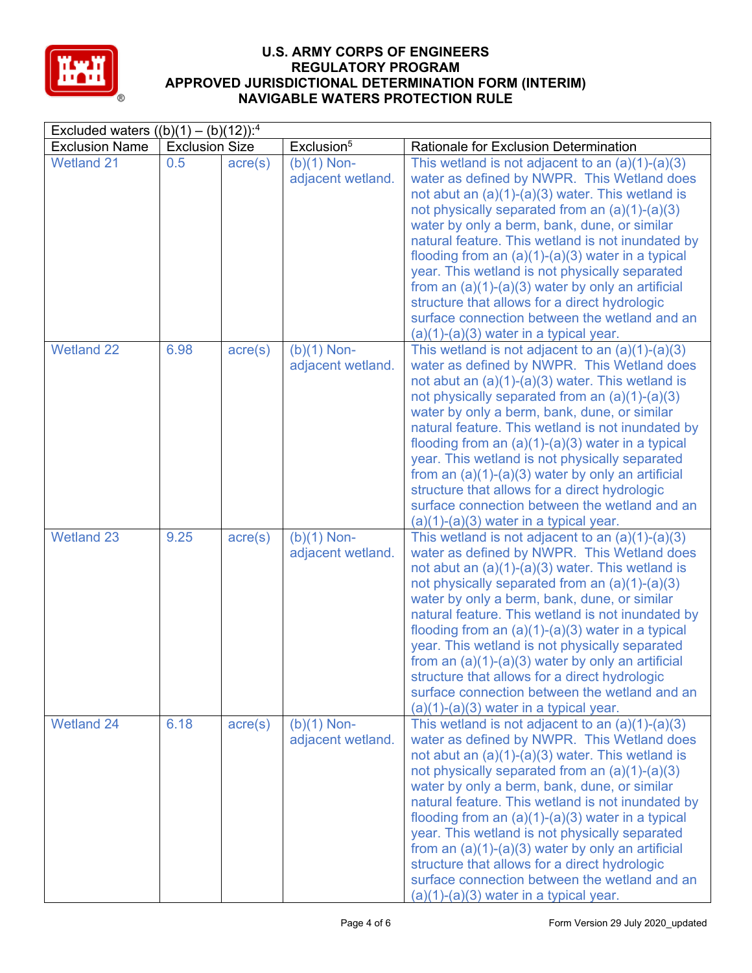

### **U.S. ARMY CORPS OF ENGINEERS REGULATORY PROGRAM APPROVED JURISDICTIONAL DETERMINATION FORM (INTERIM) NAVIGABLE WATERS PROTECTION RULE**

| Excluded waters $((b)(1) - (b)(12))$ : <sup>4</sup> |                       |                  |                                    |                                                                                                                                                                                                                                                                                                                                                                                                                                                                                                                                                                                                                                |  |  |
|-----------------------------------------------------|-----------------------|------------------|------------------------------------|--------------------------------------------------------------------------------------------------------------------------------------------------------------------------------------------------------------------------------------------------------------------------------------------------------------------------------------------------------------------------------------------------------------------------------------------------------------------------------------------------------------------------------------------------------------------------------------------------------------------------------|--|--|
| <b>Exclusion Name</b>                               | <b>Exclusion Size</b> |                  | Exclusion <sup>5</sup>             | Rationale for Exclusion Determination                                                                                                                                                                                                                                                                                                                                                                                                                                                                                                                                                                                          |  |  |
| <b>Wetland 21</b>                                   | 0.5                   | $\text{acre}(s)$ | $(b)(1)$ Non-<br>adjacent wetland. | This wetland is not adjacent to an $(a)(1)-(a)(3)$<br>water as defined by NWPR. This Wetland does<br>not abut an $(a)(1)-(a)(3)$ water. This wetland is<br>not physically separated from an $(a)(1)-(a)(3)$<br>water by only a berm, bank, dune, or similar<br>natural feature. This wetland is not inundated by<br>flooding from an $(a)(1)-(a)(3)$ water in a typical<br>year. This wetland is not physically separated<br>from an $(a)(1)-(a)(3)$ water by only an artificial<br>structure that allows for a direct hydrologic<br>surface connection between the wetland and an<br>$(a)(1)-(a)(3)$ water in a typical year. |  |  |
| <b>Wetland 22</b>                                   | 6.98                  | acre(s)          | $(b)(1)$ Non-<br>adjacent wetland. | This wetland is not adjacent to an $(a)(1)-(a)(3)$<br>water as defined by NWPR. This Wetland does<br>not abut an $(a)(1)-(a)(3)$ water. This wetland is<br>not physically separated from an (a)(1)-(a)(3)<br>water by only a berm, bank, dune, or similar<br>natural feature. This wetland is not inundated by<br>flooding from an $(a)(1)-(a)(3)$ water in a typical<br>year. This wetland is not physically separated<br>from an $(a)(1)-(a)(3)$ water by only an artificial<br>structure that allows for a direct hydrologic<br>surface connection between the wetland and an<br>$(a)(1)-(a)(3)$ water in a typical year.   |  |  |
| <b>Wetland 23</b>                                   | 9.25                  | $\text{acre}(s)$ | $(b)(1)$ Non-<br>adjacent wetland. | This wetland is not adjacent to an $(a)(1)-(a)(3)$<br>water as defined by NWPR. This Wetland does<br>not abut an $(a)(1)-(a)(3)$ water. This wetland is<br>not physically separated from an $(a)(1)-(a)(3)$<br>water by only a berm, bank, dune, or similar<br>natural feature. This wetland is not inundated by<br>flooding from an $(a)(1)-(a)(3)$ water in a typical<br>year. This wetland is not physically separated<br>from an $(a)(1)-(a)(3)$ water by only an artificial<br>structure that allows for a direct hydrologic<br>surface connection between the wetland and an<br>$(a)(1)-(a)(3)$ water in a typical year. |  |  |
| <b>Wetland 24</b>                                   | 6.18                  | $\text{acre}(s)$ | $(b)(1)$ Non-<br>adjacent wetland. | This wetland is not adjacent to an $(a)(1)-(a)(3)$<br>water as defined by NWPR. This Wetland does<br>not abut an $(a)(1)-(a)(3)$ water. This wetland is<br>not physically separated from an $(a)(1)-(a)(3)$<br>water by only a berm, bank, dune, or similar<br>natural feature. This wetland is not inundated by<br>flooding from an (a)(1)-(a)(3) water in a typical<br>year. This wetland is not physically separated<br>from an $(a)(1)-(a)(3)$ water by only an artificial<br>structure that allows for a direct hydrologic<br>surface connection between the wetland and an<br>$(a)(1)-(a)(3)$ water in a typical year.   |  |  |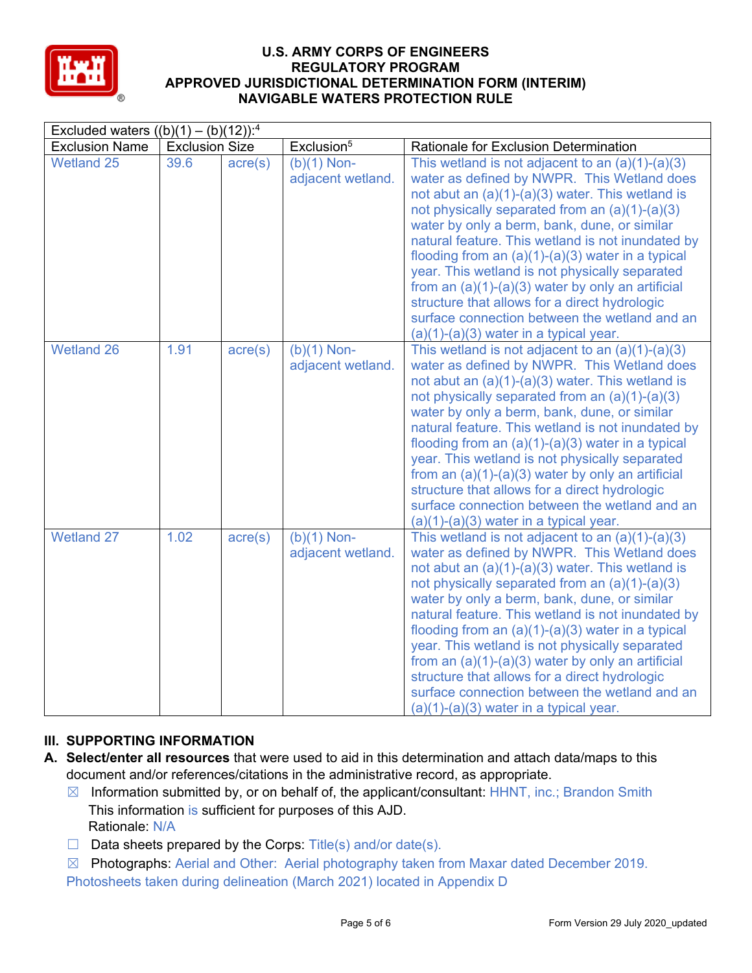

# **U.S. ARMY CORPS OF ENGINEERS REGULATORY PROGRAM APPROVED JURISDICTIONAL DETERMINATION FORM (INTERIM) NAVIGABLE WATERS PROTECTION RULE**

| Excluded waters $((b)(1) - (b)(12))$ : <sup>4</sup> |                       |                  |                                    |                                                                                                                                                                                                                                                                                                                                                                                                                                                                                                                                                                                                                              |
|-----------------------------------------------------|-----------------------|------------------|------------------------------------|------------------------------------------------------------------------------------------------------------------------------------------------------------------------------------------------------------------------------------------------------------------------------------------------------------------------------------------------------------------------------------------------------------------------------------------------------------------------------------------------------------------------------------------------------------------------------------------------------------------------------|
| <b>Exclusion Name</b>                               | <b>Exclusion Size</b> |                  | Exclusion <sup>5</sup>             | Rationale for Exclusion Determination                                                                                                                                                                                                                                                                                                                                                                                                                                                                                                                                                                                        |
| <b>Wetland 25</b>                                   | 39.6                  | $\text{acre}(s)$ | $(b)(1)$ Non-<br>adjacent wetland. | This wetland is not adjacent to an $(a)(1)-(a)(3)$<br>water as defined by NWPR. This Wetland does<br>not abut an $(a)(1)-(a)(3)$ water. This wetland is<br>not physically separated from an (a)(1)-(a)(3)<br>water by only a berm, bank, dune, or similar<br>natural feature. This wetland is not inundated by<br>flooding from an $(a)(1)-(a)(3)$ water in a typical<br>year. This wetland is not physically separated<br>from an $(a)(1)-(a)(3)$ water by only an artificial<br>structure that allows for a direct hydrologic<br>surface connection between the wetland and an<br>$(a)(1)-(a)(3)$ water in a typical year. |
| <b>Wetland 26</b>                                   | 1.91                  | $\text{acre}(s)$ | $(b)(1)$ Non-<br>adjacent wetland. | This wetland is not adjacent to an $(a)(1)-(a)(3)$<br>water as defined by NWPR. This Wetland does<br>not abut an $(a)(1)-(a)(3)$ water. This wetland is<br>not physically separated from an (a)(1)-(a)(3)<br>water by only a berm, bank, dune, or similar<br>natural feature. This wetland is not inundated by<br>flooding from an $(a)(1)-(a)(3)$ water in a typical<br>year. This wetland is not physically separated<br>from an $(a)(1)-(a)(3)$ water by only an artificial<br>structure that allows for a direct hydrologic<br>surface connection between the wetland and an<br>$(a)(1)-(a)(3)$ water in a typical year. |
| <b>Wetland 27</b>                                   | 1.02                  | $\text{acre}(s)$ | $(b)(1)$ Non-<br>adjacent wetland. | This wetland is not adjacent to an $(a)(1)-(a)(3)$<br>water as defined by NWPR. This Wetland does<br>not abut an $(a)(1)-(a)(3)$ water. This wetland is<br>not physically separated from an (a)(1)-(a)(3)<br>water by only a berm, bank, dune, or similar<br>natural feature. This wetland is not inundated by<br>flooding from an $(a)(1)-(a)(3)$ water in a typical<br>year. This wetland is not physically separated<br>from an $(a)(1)-(a)(3)$ water by only an artificial<br>structure that allows for a direct hydrologic<br>surface connection between the wetland and an<br>$(a)(1)-(a)(3)$ water in a typical year. |

## **III. SUPPORTING INFORMATION**

- **A. Select/enter all resources** that were used to aid in this determination and attach data/maps to this document and/or references/citations in the administrative record, as appropriate.
	- ☒ Information submitted by, or on behalf of, the applicant/consultant: HHNT, inc.; Brandon Smith Rationale: N/A This information is sufficient for purposes of this AJD.
	- $\Box$  Data sheets prepared by the Corps: Title(s) and/or date(s).
	- ☒ Photographs: Aerial and Other: Aerial photography taken from Maxar dated December 2019. Photosheets taken during delineation (March 2021) located in Appendix D